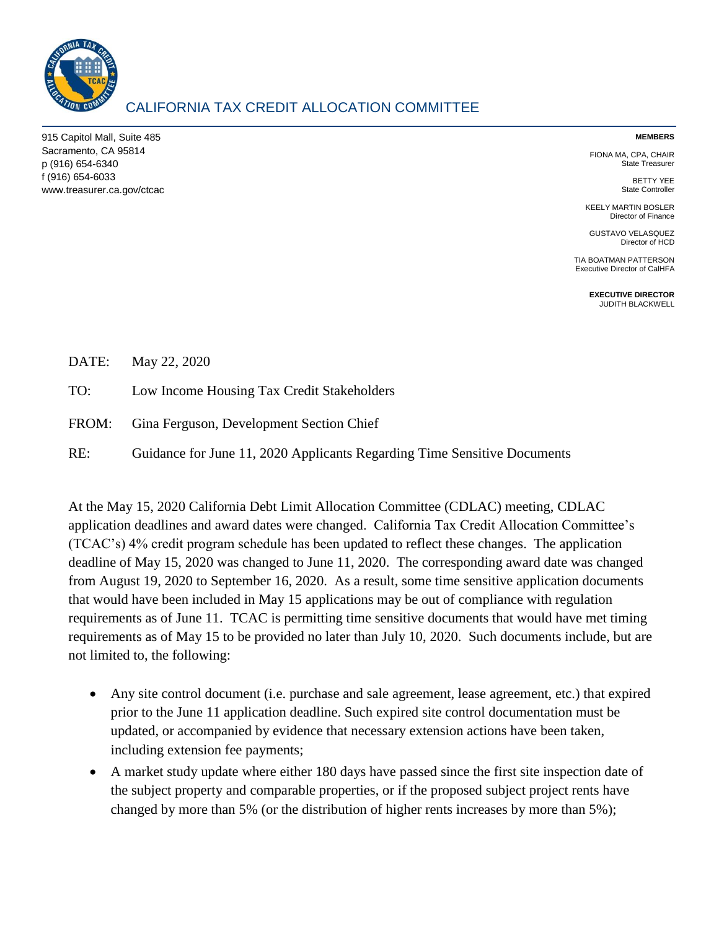

## CALIFORNIA TAX CREDIT ALLOCATION COMMITTEE

915 Capitol Mall, Suite 485 Sacramento, CA 95814 p (916) 654-6340 f (916) 654-6033 www.treasurer.ca.gov/ctcac

## **MEMBERS**

FIONA MA, CPA, CHAIR State Treasurer

> BETTY YEE State Controller

KEELY MARTIN BOSLER Director of Finance

GUSTAVO VELASQUEZ Director of HCD

TIA BOATMAN PATTERSON Executive Director of CalHFA

> **EXECUTIVE DIRECTOR** JUDITH BLACKWELL

|     | DATE: May 22, 2020                                                       |
|-----|--------------------------------------------------------------------------|
| TO: | Low Income Housing Tax Credit Stakeholders                               |
|     | FROM: Gina Ferguson, Development Section Chief                           |
| RE: | Guidance for June 11, 2020 Applicants Regarding Time Sensitive Documents |

At the May 15, 2020 California Debt Limit Allocation Committee (CDLAC) meeting, CDLAC application deadlines and award dates were changed. California Tax Credit Allocation Committee's (TCAC's) 4% credit program schedule has been updated to reflect these changes. The application deadline of May 15, 2020 was changed to June 11, 2020. The corresponding award date was changed from August 19, 2020 to September 16, 2020. As a result, some time sensitive application documents that would have been included in May 15 applications may be out of compliance with regulation requirements as of June 11. TCAC is permitting time sensitive documents that would have met timing requirements as of May 15 to be provided no later than July 10, 2020. Such documents include, but are not limited to, the following:

- Any site control document (i.e. purchase and sale agreement, lease agreement, etc.) that expired prior to the June 11 application deadline. Such expired site control documentation must be updated, or accompanied by evidence that necessary extension actions have been taken, including extension fee payments;
- A market study update where either 180 days have passed since the first site inspection date of the subject property and comparable properties, or if the proposed subject project rents have changed by more than 5% (or the distribution of higher rents increases by more than 5%);